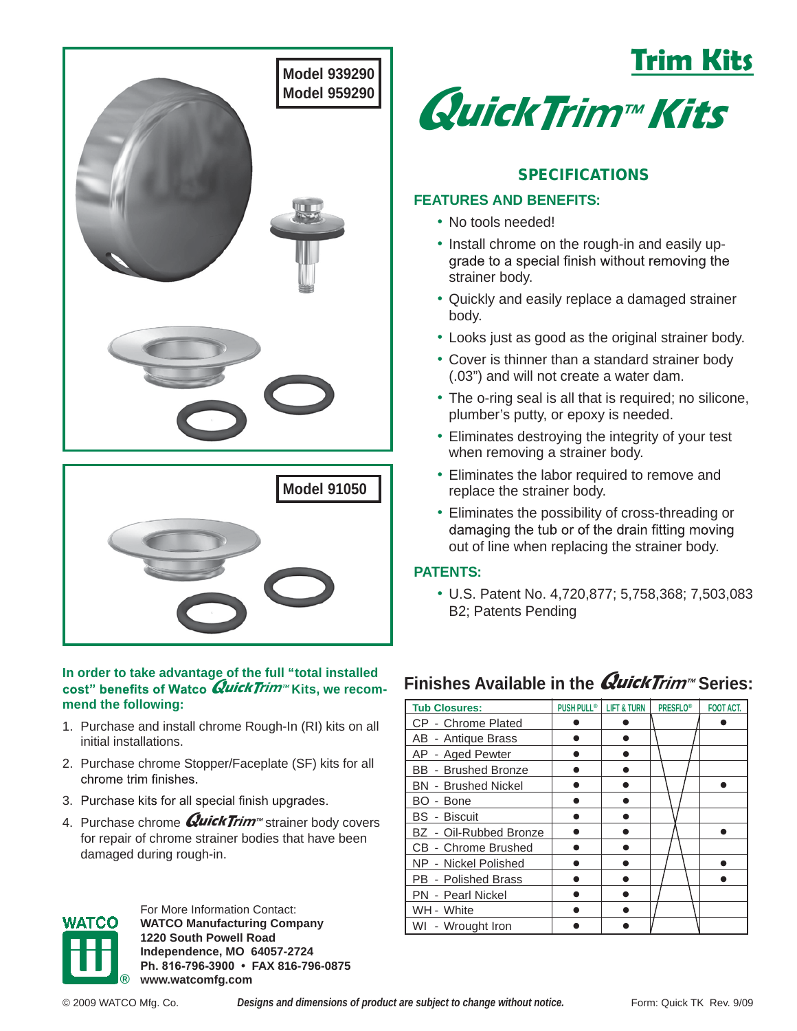

### **Findity** in order to take advantage of the full "total installed **in the** *Quick Trim* Series: **cost**" benefits of Watco *Quick Trim*™ Kits, we recom**mend the following:**

- 1. Purchase and install chrome Rough-In (RI) kits on all initial installations.
- 2. Purchase chrome Stopper/Faceplate (SF) kits for all chrome trim finishes.
- 3. Purchase kits for all special finish upgrades.
- 4. Purchase chrome *Q***uickT**rim™ strainer body covers for repair of chrome strainer bodies that have been damaged during rough-in.



For More Information Contact: **WATCO Manufacturing Company 1220 South Powell Road Independence, MO 64057-2724 Ph. 816-796-3900 • FAX 816-796-0875 ® www.watcomfg.com**





# SPECIFICATIONS

# **FEATURES AND BENEFITS:**

- No tools needed!
- Install chrome on the rough-in and easily up-<br>grade to a special finish without removing the strainer body.
- Quickly and easily replace a damaged strainer body.
- Looks just as good as the original strainer body.
- Cover is thinner than a standard strainer body (.03") and will not create a water dam.
- The o-ring seal is all that is required; no silicone, plumber's putty, or epoxy is needed.
- Eliminates destroying the integrity of your test when removing a strainer body.
- Eliminates the labor required to remove and replace the strainer body.
- Eliminates the possibility of cross-threading or out of line when replacing the strainer body.

## **PATENTS:**

• U.S. Patent No. 4,720,877; 5,758,368; 7,503,083 B2; Patents Pending

| <b>Tub Closures:</b>       | <b>PUSH PULL®</b> | <b>LIFT &amp; TURN</b> | <b>PRESFLO®</b> | <b>FOOT ACT.</b> |
|----------------------------|-------------------|------------------------|-----------------|------------------|
| CP - Chrome Plated         |                   |                        |                 |                  |
| AB - Antique Brass         |                   |                        |                 |                  |
| AP - Aged Pewter           |                   |                        |                 |                  |
| <b>BB</b> - Brushed Bronze |                   |                        |                 |                  |
| <b>BN</b> - Brushed Nickel |                   |                        |                 |                  |
| BO - Bone                  |                   |                        |                 |                  |
| <b>BS</b> - Biscuit        |                   |                        |                 |                  |
| BZ - Oil-Rubbed Bronze     |                   |                        |                 |                  |
| CB - Chrome Brushed        |                   |                        |                 |                  |
| NP - Nickel Polished       |                   |                        |                 |                  |
| PB - Polished Brass        |                   |                        |                 |                  |
| PN - Pearl Nickel          |                   |                        |                 |                  |
| WH - White                 |                   |                        |                 |                  |
| WI - Wrought Iron          |                   |                        |                 |                  |